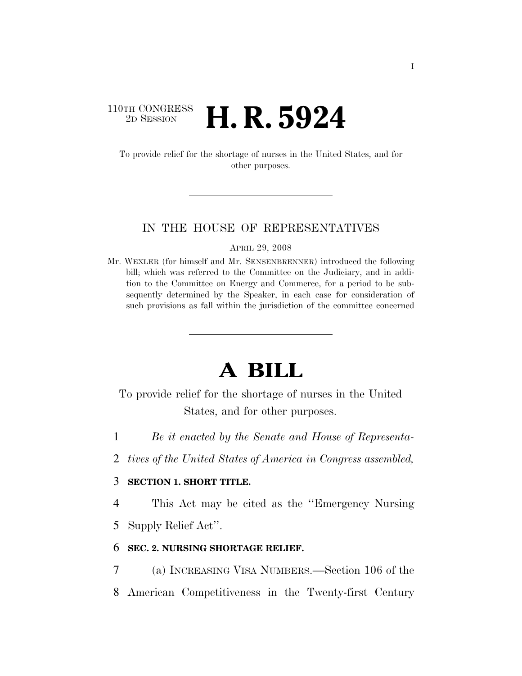## 110TH CONGRESS <sup>2D SESSION</sup> **H. R. 5924**

To provide relief for the shortage of nurses in the United States, and for other purposes.

#### IN THE HOUSE OF REPRESENTATIVES

APRIL 29, 2008

Mr. WEXLER (for himself and Mr. SENSENBRENNER) introduced the following bill; which was referred to the Committee on the Judiciary, and in addition to the Committee on Energy and Commerce, for a period to be subsequently determined by the Speaker, in each case for consideration of such provisions as fall within the jurisdiction of the committee concerned

# **A BILL**

To provide relief for the shortage of nurses in the United States, and for other purposes.

- 1 *Be it enacted by the Senate and House of Representa-*
- 2 *tives of the United States of America in Congress assembled,*

#### 3 **SECTION 1. SHORT TITLE.**

4 This Act may be cited as the ''Emergency Nursing

5 Supply Relief Act''.

#### 6 **SEC. 2. NURSING SHORTAGE RELIEF.**

7 (a) INCREASING VISA NUMBERS.—Section 106 of the 8 American Competitiveness in the Twenty-first Century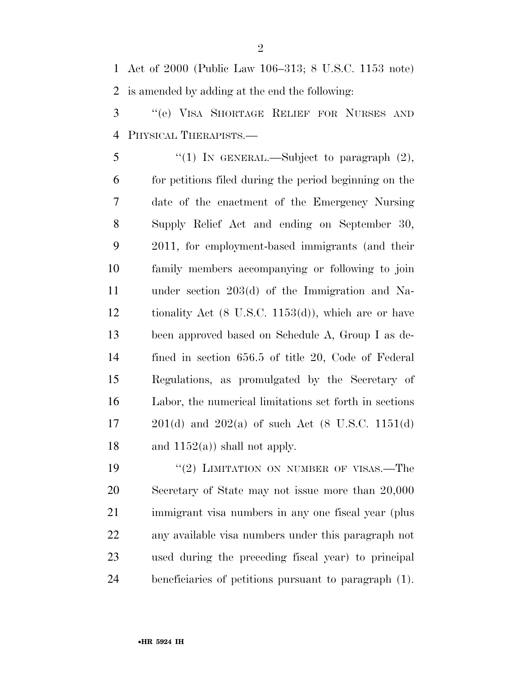Act of 2000 (Public Law 106–313; 8 U.S.C. 1153 note) is amended by adding at the end the following:

 ''(e) VISA SHORTAGE RELIEF FOR NURSES AND PHYSICAL THERAPISTS.—

5 "(1) In GENERAL.—Subject to paragraph  $(2)$ , for petitions filed during the period beginning on the date of the enactment of the Emergency Nursing Supply Relief Act and ending on September 30, 2011, for employment-based immigrants (and their family members accompanying or following to join under section 203(d) of the Immigration and Na- tionality Act (8 U.S.C. 1153(d)), which are or have been approved based on Schedule A, Group I as de- fined in section 656.5 of title 20, Code of Federal Regulations, as promulgated by the Secretary of Labor, the numerical limitations set forth in sections 201(d) and 202(a) of such Act (8 U.S.C. 1151(d) 18 and  $1152(a)$ ) shall not apply.

19 "(2) LIMITATION ON NUMBER OF VISAS.—The Secretary of State may not issue more than 20,000 immigrant visa numbers in any one fiscal year (plus any available visa numbers under this paragraph not used during the preceding fiscal year) to principal beneficiaries of petitions pursuant to paragraph (1).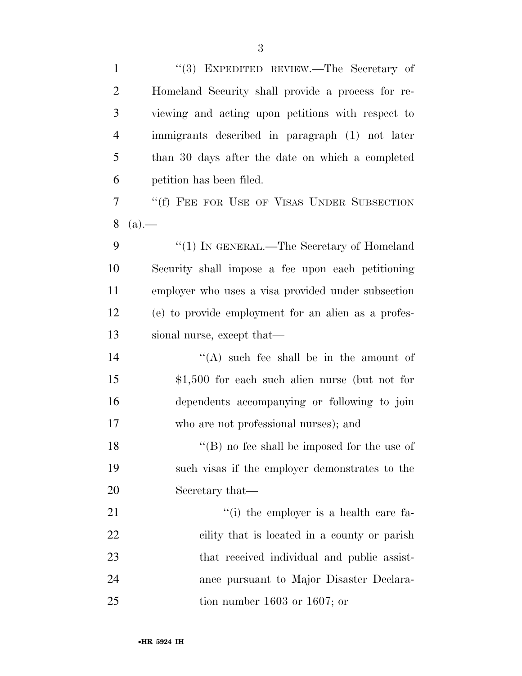| $\mathbf{1}$   | "(3) EXPEDITED REVIEW.—The Secretary of             |
|----------------|-----------------------------------------------------|
| $\overline{2}$ | Homeland Security shall provide a process for re-   |
| 3              | viewing and acting upon petitions with respect to   |
| 4              | immigrants described in paragraph (1) not later     |
| 5              | than 30 days after the date on which a completed    |
| 6              | petition has been filed.                            |
| 7              | "(f) FEE FOR USE OF VISAS UNDER SUBSECTION          |
| 8              | $(a)$ .                                             |
| 9              | "(1) IN GENERAL.—The Secretary of Homeland          |
| 10             | Security shall impose a fee upon each petitioning   |
| 11             | employer who uses a visa provided under subsection  |
| 12             | (e) to provide employment for an alien as a profes- |
| 13             | sional nurse, except that—                          |
| 14             | "(A) such fee shall be in the amount of             |
| 15             | $$1,500$ for each such alien nurse (but not for     |
| 16             | dependents accompanying or following to join        |
| 17             | who are not professional nurses); and               |
| 18             | $\lq\lq$ (B) no fee shall be imposed for the use of |
| 19             | such visas if the employer demonstrates to the      |
| 20             | Secretary that—                                     |
| 21             | "(i) the employer is a health care fa-              |
| 22             | cility that is located in a county or parish        |
| 23             | that received individual and public assist-         |
| 24             | ance pursuant to Major Disaster Declara-            |
| 25             | tion number $1603$ or $1607$ ; or                   |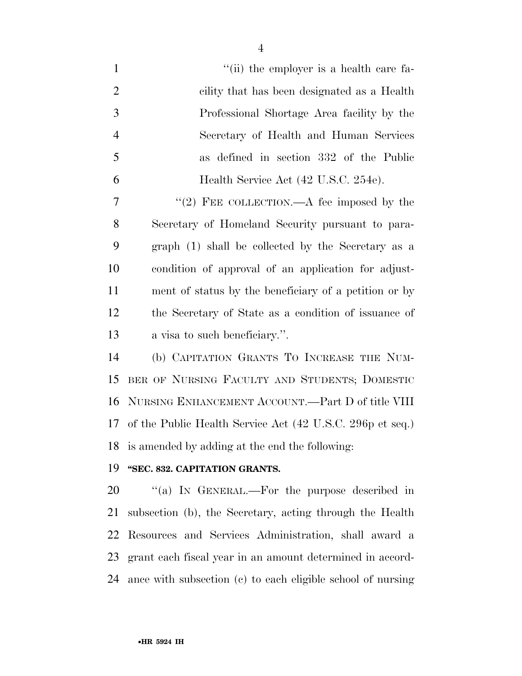| $\mathbf{1}$   | "(ii) the employer is a health care fa-                   |
|----------------|-----------------------------------------------------------|
| $\overline{2}$ | cility that has been designated as a Health               |
| 3              | Professional Shortage Area facility by the                |
| $\overline{4}$ | Secretary of Health and Human Services                    |
| 5              | as defined in section 332 of the Public                   |
| 6              | Health Service Act (42 U.S.C. 254e).                      |
| 7              | "(2) FEE COLLECTION.—A fee imposed by the                 |
| 8              | Secretary of Homeland Security pursuant to para-          |
| 9              | graph (1) shall be collected by the Secretary as a        |
| 10             | condition of approval of an application for adjust-       |
| 11             | ment of status by the beneficiary of a petition or by     |
| 12             | the Secretary of State as a condition of issuance of      |
| 13             | a visa to such beneficiary.".                             |
| 14             | (b) CAPITATION GRANTS TO INCREASE THE NUM-                |
| 15             | BER OF NURSING FACULTY AND STUDENTS; DOMESTIC             |
| 16             | NURSING ENHANCEMENT ACCOUNT.—Part D of title VIII         |
| 17             | of the Public Health Service Act (42 U.S.C. 296p et seq.) |
|                | 18 is amended by adding at the end the following:         |
| 19             | "SEC. 832. CAPITATION GRANTS.                             |
| 20             | "(a) IN GENERAL.—For the purpose described in             |
| 21             | subsection (b), the Secretary, acting through the Health  |
| 22             | Resources and Services Administration, shall award a      |
| 23             | grant each fiscal year in an amount determined in accord- |

ance with subsection (c) to each eligible school of nursing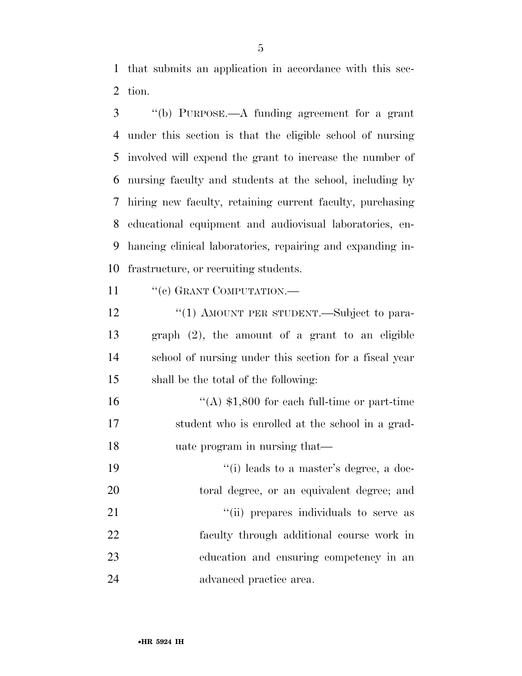that submits an application in accordance with this sec-tion.

 ''(b) PURPOSE.—A funding agreement for a grant under this section is that the eligible school of nursing involved will expend the grant to increase the number of nursing faculty and students at the school, including by hiring new faculty, retaining current faculty, purchasing educational equipment and audiovisual laboratories, en- hancing clinical laboratories, repairing and expanding in-frastructure, or recruiting students.

11 "(c) GRANT COMPUTATION.—

12 "(1) AMOUNT PER STUDENT.—Subject to para- graph (2), the amount of a grant to an eligible school of nursing under this section for a fiscal year shall be the total of the following:

16  $\frac{16}{(A)}$  \$1,800 for each full-time or part-time student who is enrolled at the school in a grad-uate program in nursing that—

19 ''(i) leads to a master's degree, a doc- toral degree, or an equivalent degree; and  $\frac{1}{1}$   $\frac{1}{1}$  prepares individuals to serve as faculty through additional course work in education and ensuring competency in an advanced practice area.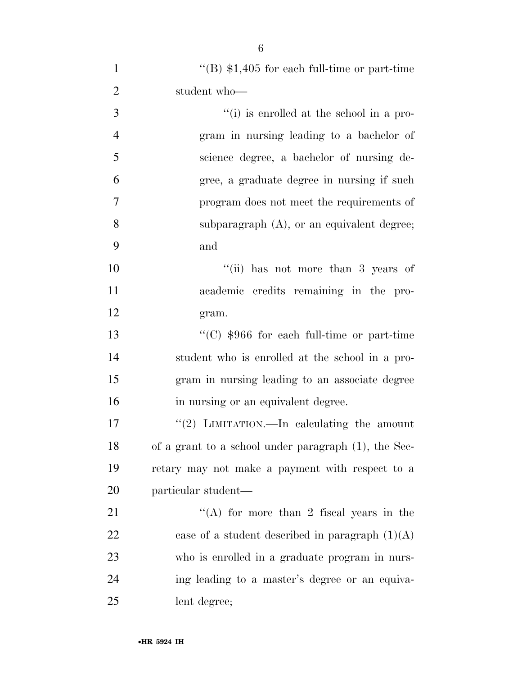| $\mathbf{1}$   | "(B) $$1,405$ for each full-time or part-time"       |
|----------------|------------------------------------------------------|
| $\overline{2}$ | student who-                                         |
| 3              | "(i) is enrolled at the school in a pro-             |
| $\overline{4}$ | gram in nursing leading to a bachelor of             |
| 5              | science degree, a bachelor of nursing de-            |
| 6              | gree, a graduate degree in nursing if such           |
| 7              | program does not meet the requirements of            |
| 8              | subparagraph $(A)$ , or an equivalent degree;        |
| 9              | and                                                  |
| 10             | "(ii) has not more than 3 years of                   |
| 11             | academic credits remaining in the pro-               |
| 12             | gram.                                                |
| 13             | "(C) $$966$ for each full-time or part-time          |
| 14             | student who is enrolled at the school in a pro-      |
| 15             | gram in nursing leading to an associate degree       |
| 16             | in nursing or an equivalent degree.                  |
| 17             | "(2) LIMITATION.—In calculating the amount           |
| 18             | of a grant to a school under paragraph (1), the Sec- |
| 19             | retary may not make a payment with respect to a      |
| 20             | particular student—                                  |
| 21             | "(A) for more than 2 fiscal years in the             |
| 22             | case of a student described in paragraph $(1)(A)$    |
| 23             | who is enrolled in a graduate program in nurs-       |
| 24             | ing leading to a master's degree or an equiva-       |
| 25             | lent degree;                                         |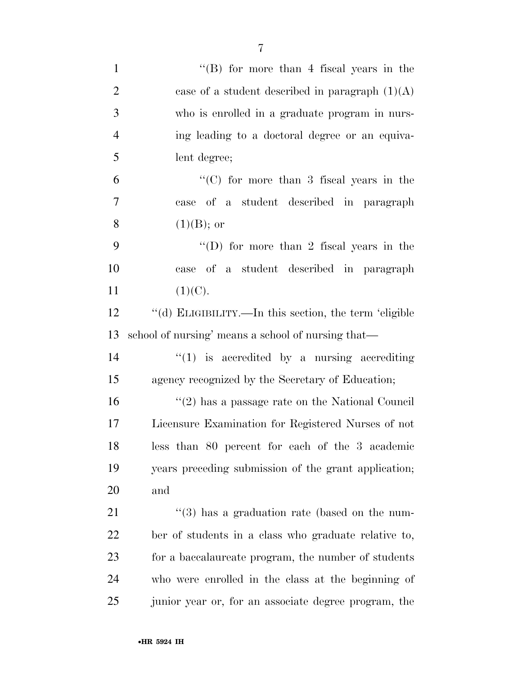| $\mathbf{1}$   | "(B) for more than 4 fiscal years in the                  |
|----------------|-----------------------------------------------------------|
| $\overline{2}$ | case of a student described in paragraph $(1)(A)$         |
| 3              | who is enrolled in a graduate program in nurs-            |
| $\overline{4}$ | ing leading to a doctoral degree or an equiva-            |
| 5              | lent degree;                                              |
| 6              | "(C) for more than 3 fiscal years in the                  |
| 7              | of a student described in paragraph<br>case               |
| 8              | $(1)(B)$ ; or                                             |
| 9              | "(D) for more than 2 fiscal years in the                  |
| 10             | of a student described in paragraph<br>case               |
| 11             | (1)(C).                                                   |
| 12             | "(d) ELIGIBILITY.—In this section, the term 'eligible     |
| 13             | school of nursing' means a school of nursing that—        |
| 14             | $"(1)$ is accredited by a nursing accrediting             |
| 15             | agency recognized by the Secretary of Education;          |
| 16             | $\lq(2)$ has a passage rate on the National Council       |
| 17             | Licensure Examination for Registered Nurses of not        |
| 18             | less than 80 percent for each of the 3 academic           |
| 19             | years preceding submission of the grant application;      |
| 20             | and                                                       |
| 21             | $\cdot\cdot$ (3) has a graduation rate (based on the num- |
| <u>22</u>      | ber of students in a class who graduate relative to,      |
| 23             | for a baccalaureate program, the number of students       |
| 24             | who were enrolled in the class at the beginning of        |
| 25             | junior year or, for an associate degree program, the      |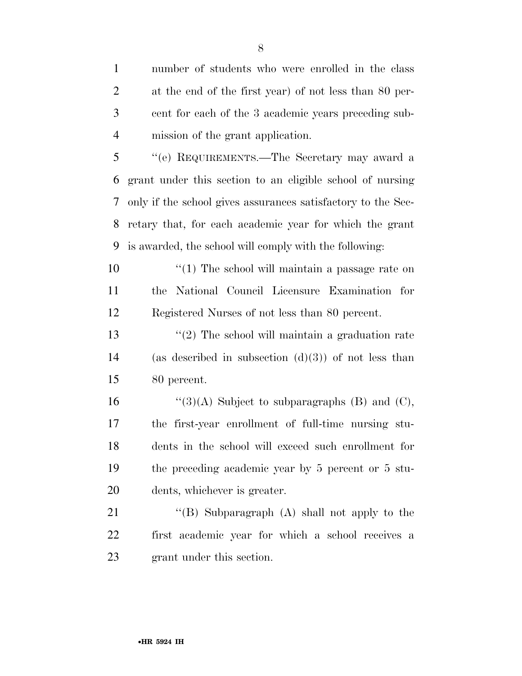number of students who were enrolled in the class at the end of the first year) of not less than 80 per- cent for each of the 3 academic years preceding sub-mission of the grant application.

 ''(e) REQUIREMENTS.—The Secretary may award a grant under this section to an eligible school of nursing only if the school gives assurances satisfactory to the Sec- retary that, for each academic year for which the grant is awarded, the school will comply with the following:

10 ''(1) The school will maintain a passage rate on the National Council Licensure Examination for Registered Nurses of not less than 80 percent.

 ''(2) The school will maintain a graduation rate 14 (as described in subsection  $(d)(3)$ ) of not less than 80 percent.

 $\frac{16}{2}(3)(A)$  Subject to subparagraphs (B) and (C), the first-year enrollment of full-time nursing stu- dents in the school will exceed such enrollment for the preceding academic year by 5 percent or 5 stu-dents, whichever is greater.

21 "(B) Subparagraph (A) shall not apply to the first academic year for which a school receives a grant under this section.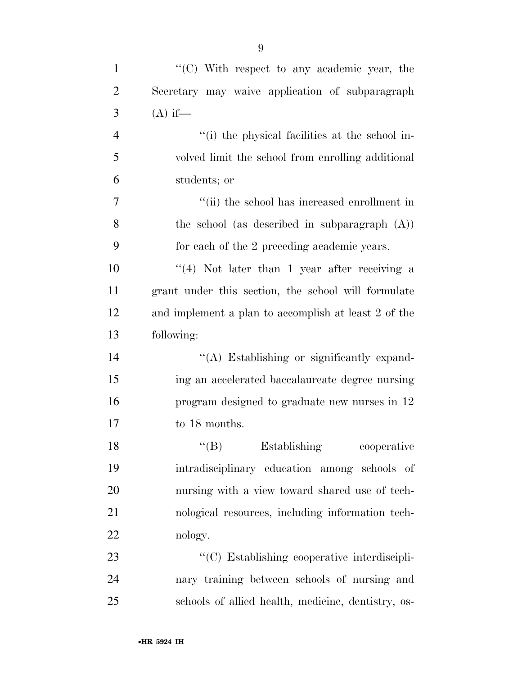| $\mathbf{1}$   | "(C) With respect to any academic year, the          |
|----------------|------------------------------------------------------|
| $\overline{2}$ | Secretary may waive application of subparagraph      |
| 3              | $(A)$ if—                                            |
| $\overline{4}$ | "(i) the physical facilities at the school in-       |
| 5              | volved limit the school from enrolling additional    |
| 6              | students; or                                         |
| $\overline{7}$ | "(ii) the school has increased enrollment in         |
| 8              | the school (as described in subparagraph (A))        |
| 9              | for each of the 2 preceding academic years.          |
| 10             | $((4)$ Not later than 1 year after receiving a       |
| 11             | grant under this section, the school will formulate  |
| 12             | and implement a plan to accomplish at least 2 of the |
| 13             | following:                                           |
| 14             | "(A) Establishing or significantly expand-           |
| 15             | ing an accelerated baccalaureate degree nursing      |
| 16             | program designed to graduate new nurses in 12        |
| 17             | to 18 months.                                        |
| 18             | $\lq\lq (B)$ Establishing<br>cooperative             |
| 19             | intradisciplinary education among schools of         |
| 20             | nursing with a view toward shared use of tech-       |
| 21             | nological resources, including information tech-     |
| 22             | nology.                                              |
| 23             | "(C) Establishing cooperative interdiscipli-         |
| 24             | nary training between schools of nursing and         |
| 25             | schools of allied health, medicine, dentistry, os-   |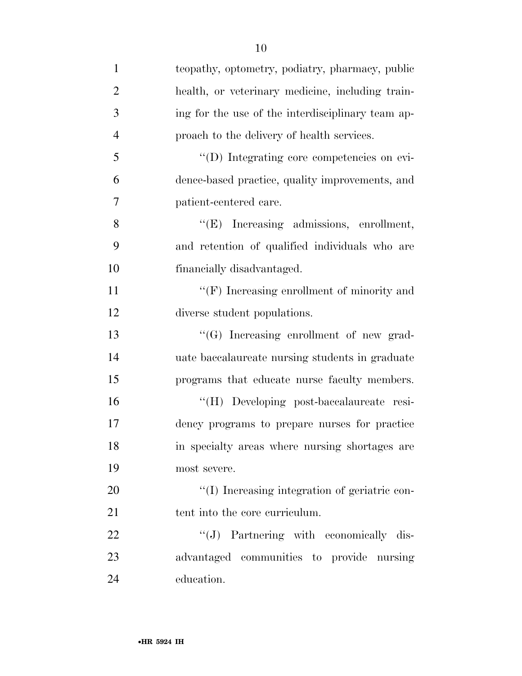| $\mathbf{1}$   | teopathy, optometry, podiatry, pharmacy, public   |
|----------------|---------------------------------------------------|
| $\overline{2}$ | health, or veterinary medicine, including train-  |
| 3              | ing for the use of the interdisciplinary team ap- |
| $\overline{4}$ | proach to the delivery of health services.        |
| 5              | "(D) Integrating core competencies on evi-        |
| 6              | dence-based practice, quality improvements, and   |
| 7              | patient-centered care.                            |
| 8              | "(E) Increasing admissions, enrollment,           |
| 9              | and retention of qualified individuals who are    |
| 10             | financially disadvantaged.                        |
| 11             | $``(F)$ Increasing enrollment of minority and     |
| 12             | diverse student populations.                      |
| 13             | "(G) Increasing enrollment of new grad-           |
| 14             | uate baccalaureate nursing students in graduate   |
| 15             | programs that educate nurse faculty members.      |
| 16             | "(H) Developing post-baccalaureate resi-          |
| 17             | dency programs to prepare nurses for practice     |
| 18             | in specialty areas where nursing shortages are    |
| 19             | most severe.                                      |
| 20             | "(I) Increasing integration of geriatric con-     |
| 21             | tent into the core curriculum.                    |
| 22             | "(J) Partnering with economically dis-            |
| 23             | advantaged communities to provide nursing         |
| 24             | education.                                        |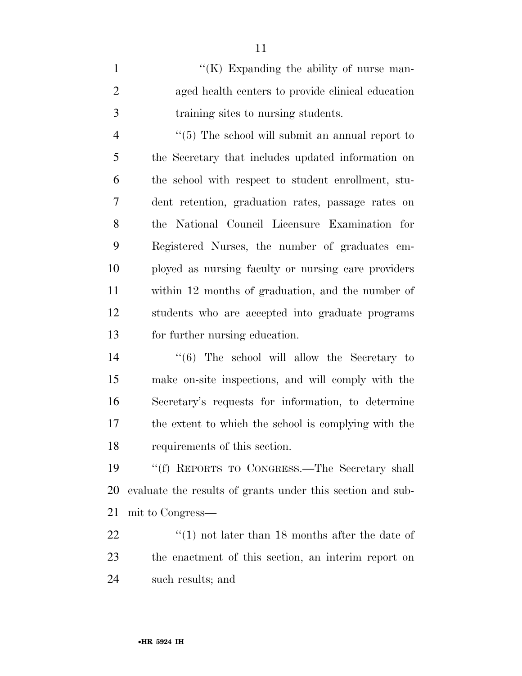1 ''(K) Expanding the ability of nurse man- aged health centers to provide clinical education training sites to nursing students.

4 ''(5) The school will submit an annual report to the Secretary that includes updated information on the school with respect to student enrollment, stu- dent retention, graduation rates, passage rates on the National Council Licensure Examination for Registered Nurses, the number of graduates em- ployed as nursing faculty or nursing care providers within 12 months of graduation, and the number of students who are accepted into graduate programs for further nursing education.

 ''(6) The school will allow the Secretary to make on-site inspections, and will comply with the Secretary's requests for information, to determine the extent to which the school is complying with the requirements of this section.

 ''(f) REPORTS TO CONGRESS.—The Secretary shall evaluate the results of grants under this section and sub-mit to Congress—

22 ''(1) not later than 18 months after the date of the enactment of this section, an interim report on such results; and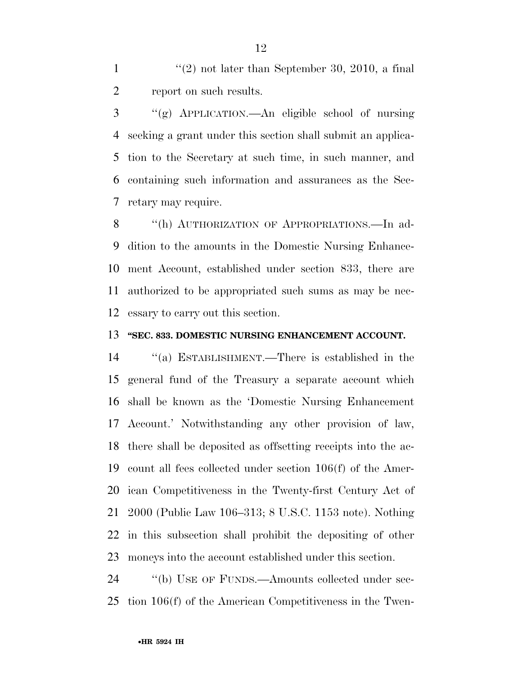1  $\frac{1}{2}$  not later than September 30, 2010, a final report on such results.

 ''(g) APPLICATION.—An eligible school of nursing seeking a grant under this section shall submit an applica- tion to the Secretary at such time, in such manner, and containing such information and assurances as the Sec-retary may require.

8 "(h) AUTHORIZATION OF APPROPRIATIONS.—In ad- dition to the amounts in the Domestic Nursing Enhance- ment Account, established under section 833, there are authorized to be appropriated such sums as may be nec-essary to carry out this section.

#### **''SEC. 833. DOMESTIC NURSING ENHANCEMENT ACCOUNT.**

 ''(a) ESTABLISHMENT.—There is established in the general fund of the Treasury a separate account which shall be known as the 'Domestic Nursing Enhancement Account.' Notwithstanding any other provision of law, there shall be deposited as offsetting receipts into the ac- count all fees collected under section 106(f) of the Amer- ican Competitiveness in the Twenty-first Century Act of 2000 (Public Law 106–313; 8 U.S.C. 1153 note). Nothing in this subsection shall prohibit the depositing of other moneys into the account established under this section.

24 "(b) USE OF FUNDS.—Amounts collected under sec-tion 106(f) of the American Competitiveness in the Twen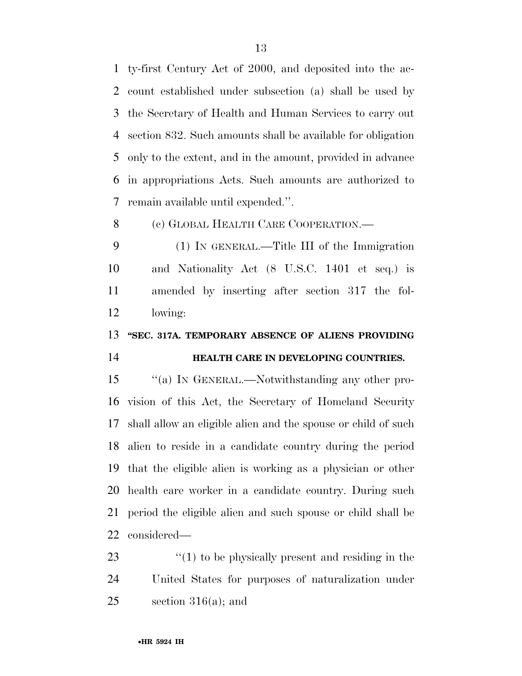ty-first Century Act of 2000, and deposited into the ac- count established under subsection (a) shall be used by the Secretary of Health and Human Services to carry out section 832. Such amounts shall be available for obligation only to the extent, and in the amount, provided in advance in appropriations Acts. Such amounts are authorized to remain available until expended.''.

8 (c) GLOBAL HEALTH CARE COOPERATION.—

 (1) IN GENERAL.—Title III of the Immigration and Nationality Act (8 U.S.C. 1401 et seq.) is amended by inserting after section 317 the fol-lowing:

**''SEC. 317A. TEMPORARY ABSENCE OF ALIENS PROVIDING** 

# **HEALTH CARE IN DEVELOPING COUNTRIES.**

15 "(a) In GENERAL.—Notwithstanding any other pro- vision of this Act, the Secretary of Homeland Security shall allow an eligible alien and the spouse or child of such alien to reside in a candidate country during the period that the eligible alien is working as a physician or other health care worker in a candidate country. During such period the eligible alien and such spouse or child shall be considered—

23 ''(1) to be physically present and residing in the United States for purposes of naturalization under 25 section 316(a); and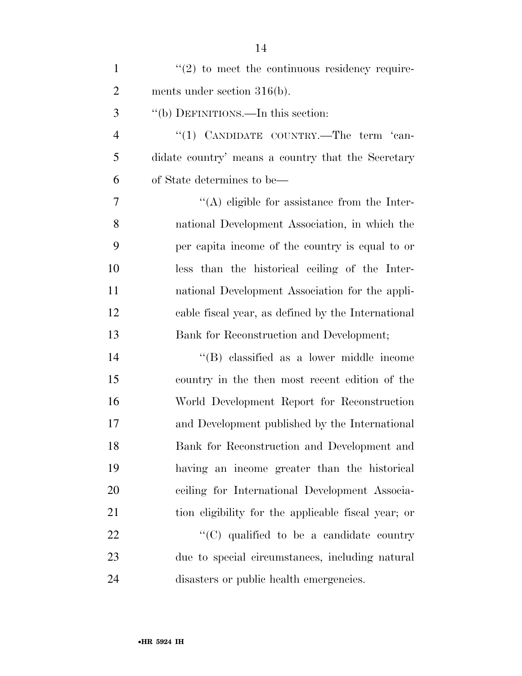| $\mathbf{1}$   | $\cdot\cdot(2)$ to meet the continuous residency require- |
|----------------|-----------------------------------------------------------|
| $\overline{2}$ | ments under section $316(b)$ .                            |
| 3              | "(b) DEFINITIONS.—In this section:                        |
| $\overline{4}$ | "(1) CANDIDATE COUNTRY.—The term 'can-                    |
| 5              | didate country' means a country that the Secretary        |
| 6              | of State determines to be—                                |
| 7              | $\lq\lq$ eligible for assistance from the Inter-          |
| 8              | national Development Association, in which the            |
| 9              | per capita income of the country is equal to or           |
| 10             | less than the historical ceiling of the Inter-            |
| 11             | national Development Association for the appli-           |
| 12             | cable fiscal year, as defined by the International        |
| 13             | Bank for Reconstruction and Development;                  |
| 14             | "(B) classified as a lower middle income                  |
| 15             | country in the then most recent edition of the            |
| 16             | World Development Report for Reconstruction               |
| 17             | and Development published by the International            |
| 18             | Bank for Reconstruction and Development and               |
| 19             | having an income greater than the historical              |
| 20             | ceiling for International Development Associa-            |
| 21             | tion eligibility for the applicable fiscal year; or       |
| 22             | "(C) qualified to be a candidate country                  |
| 23             | due to special circumstances, including natural           |
| 24             | disasters or public health emergencies.                   |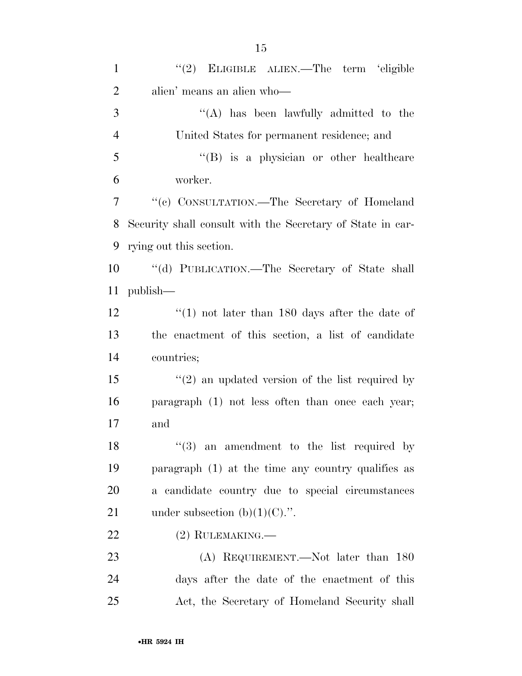''(A) has been lawfully admitted to the United States for permanent residence; and ''(B) is a physician or other healthcare worker. ''(c) CONSULTATION.—The Secretary of Homeland Security shall consult with the Secretary of State in car- rying out this section. ''(d) PUBLICATION.—The Secretary of State shall publish— 12 ''(1) not later than 180 days after the date of the enactment of this section, a list of candidate countries; 15 ''(2) an updated version of the list required by paragraph (1) not less often than once each year; and  $\frac{1}{3}$  an amendment to the list required by

 paragraph (1) at the time any country qualifies as a candidate country due to special circumstances 21 under subsection  $(b)(1)(C)$ .".

### 22 (2) RULEMAKING.

23 (A) REQUIREMENT.—Not later than 180 days after the date of the enactment of this Act, the Secretary of Homeland Security shall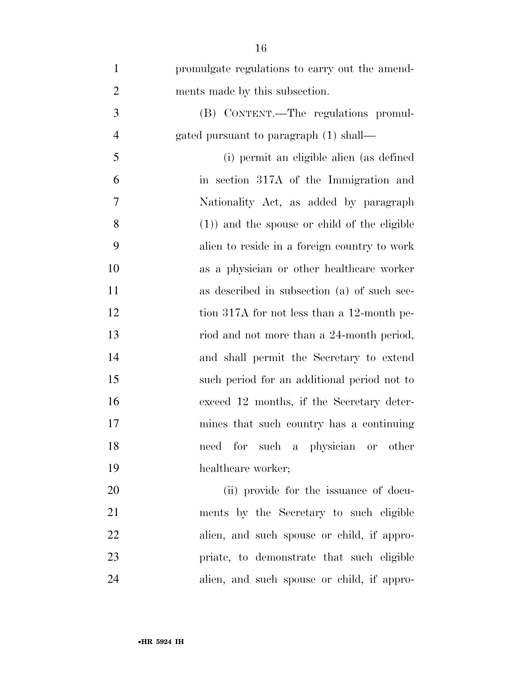| $\mathbf{1}$   | promulgate regulations to carry out the amend-  |
|----------------|-------------------------------------------------|
| $\overline{2}$ | ments made by this subsection.                  |
| 3              | (B) CONTENT.—The regulations promul-            |
| $\overline{4}$ | gated pursuant to paragraph (1) shall—          |
| 5              | (i) permit an eligible alien (as defined        |
| 6              | in section 317A of the Immigration and          |
| 7              | Nationality Act, as added by paragraph          |
| 8              | $(1)$ ) and the spouse or child of the eligible |
| 9              | alien to reside in a foreign country to work    |
| 10             | as a physician or other healthcare worker       |
| 11             | as described in subsection (a) of such sec-     |
| 12             | tion 317A for not less than a 12-month pe-      |
| 13             | riod and not more than a 24-month period,       |
| 14             | and shall permit the Secretary to extend        |
| 15             | such period for an additional period not to     |
| 16             | exceed 12 months, if the Secretary deter-       |
| 17             | mines that such country has a continuing        |
| 18             | for such a physician or other<br>need           |
| 19             | healthcare worker;                              |
| 20             | (ii) provide for the issuance of docu-          |
| 21             | ments by the Secretary to such eligible         |
| 22             | alien, and such spouse or child, if appro-      |
| 23             | priate, to demonstrate that such eligible       |
| 24             | alien, and such spouse or child, if appro-      |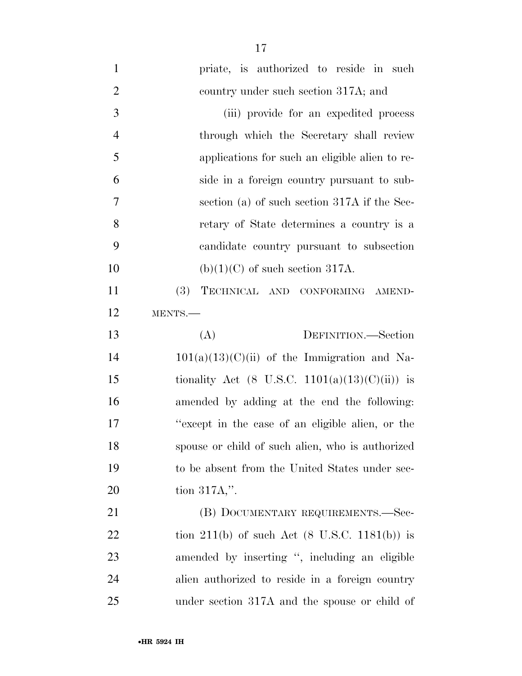| $\mathbf{1}$   | priate, is authorized to reside in such                  |
|----------------|----------------------------------------------------------|
| $\overline{2}$ | country under such section 317A; and                     |
| 3              | (iii) provide for an expedited process                   |
| $\overline{4}$ | through which the Secretary shall review                 |
| 5              | applications for such an eligible alien to re-           |
| 6              | side in a foreign country pursuant to sub-               |
| 7              | section (a) of such section $317A$ if the Sec-           |
| 8              | retary of State determines a country is a                |
| 9              | candidate country pursuant to subsection                 |
| 10             | $(b)(1)(C)$ of such section 317A.                        |
| 11             | <b>(3)</b><br>TECHNICAL AND CONFORMING AMEND-            |
| 12             | MENTS.-                                                  |
| 13             | DEFINITION.-Section<br>(A)                               |
| 14             | $101(a)(13)(C)(ii)$ of the Immigration and Na-           |
| 15             | tionality Act (8 U.S.C. 1101(a)(13)(C)(ii)) is           |
| 16             | amended by adding at the end the following:              |
| 17             | "except in the case of an eligible alien, or the         |
| 18             | spouse or child of such alien, who is authorized         |
| 19             | to be absent from the United States under sec-           |
| 20             | tion $317A$ ,".                                          |
| 21             | (B) DOCUMENTARY REQUIREMENTS.-Sec-                       |
| 22             | tion 211(b) of such Act $(8 \text{ U.S.C. } 1181(b))$ is |
| 23             | amended by inserting ", including an eligible            |
| 24             | alien authorized to reside in a foreign country          |
| 25             | under section 317A and the spouse or child of            |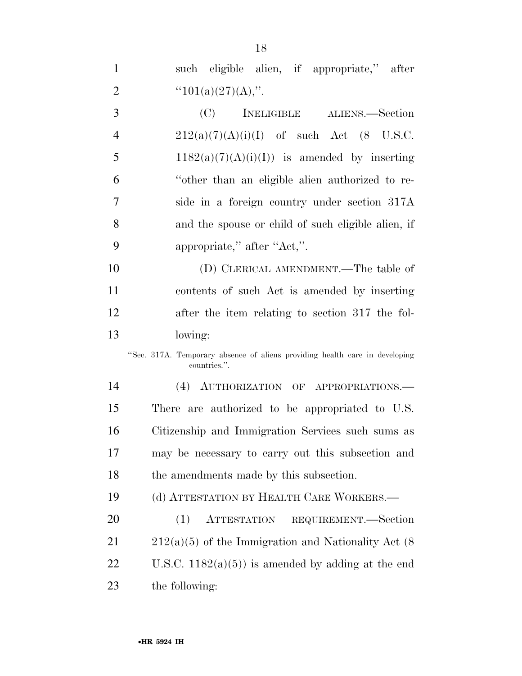such eligible alien, if appropriate,'' after ''101(a)(27)(A),''.

 (C) INELIGIBLE ALIENS.—Section 4 212(a)(7)(A)(i)(I) of such Act (8 U.S.C. 5 1182(a)(7)(A)(i)(I)) is amended by inserting ''other than an eligible alien authorized to re- side in a foreign country under section 317A and the spouse or child of such eligible alien, if 9 appropriate," after "Act,".

 (D) CLERICAL AMENDMENT.—The table of contents of such Act is amended by inserting after the item relating to section 317 the fol-lowing:

''Sec. 317A. Temporary absence of aliens providing health care in developing countries.''.

 (4) AUTHORIZATION OF APPROPRIATIONS.— There are authorized to be appropriated to U.S. Citizenship and Immigration Services such sums as may be necessary to carry out this subsection and the amendments made by this subsection.

(d) ATTESTATION BY HEALTH CARE WORKERS.—

 (1) ATTESTATION REQUIREMENT.—Section  $21 \qquad 212(a)(5)$  of the Immigration and Nationality Act (8) 22 U.S.C.  $1182(a)(5)$  is amended by adding at the end the following: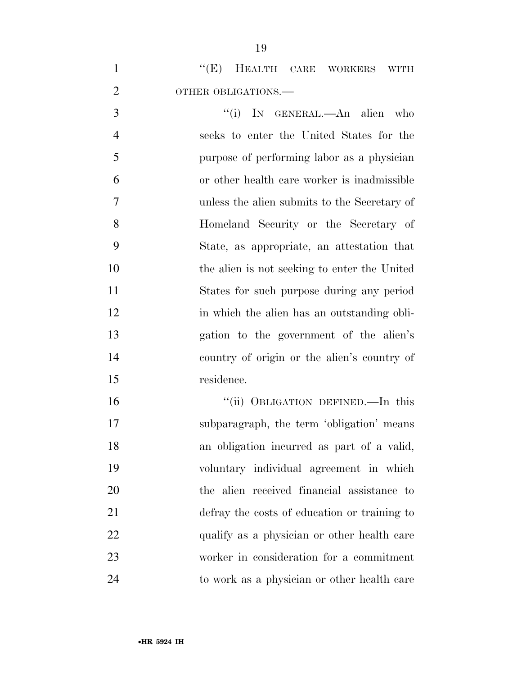|                     |  |  | $\lq\lq(E)$ HEALTH CARE WORKERS WITH |  |
|---------------------|--|--|--------------------------------------|--|
| OTHER OBLIGATIONS.— |  |  |                                      |  |

3 "(i) In GENERAL.—An alien who seeks to enter the United States for the purpose of performing labor as a physician or other health care worker is inadmissible unless the alien submits to the Secretary of Homeland Security or the Secretary of State, as appropriate, an attestation that the alien is not seeking to enter the United States for such purpose during any period 12 in which the alien has an outstanding obli- gation to the government of the alien's country of origin or the alien's country of residence.

16 "(ii) OBLIGATION DEFINED.—In this subparagraph, the term 'obligation' means an obligation incurred as part of a valid, voluntary individual agreement in which the alien received financial assistance to defray the costs of education or training to 22 qualify as a physician or other health care worker in consideration for a commitment to work as a physician or other health care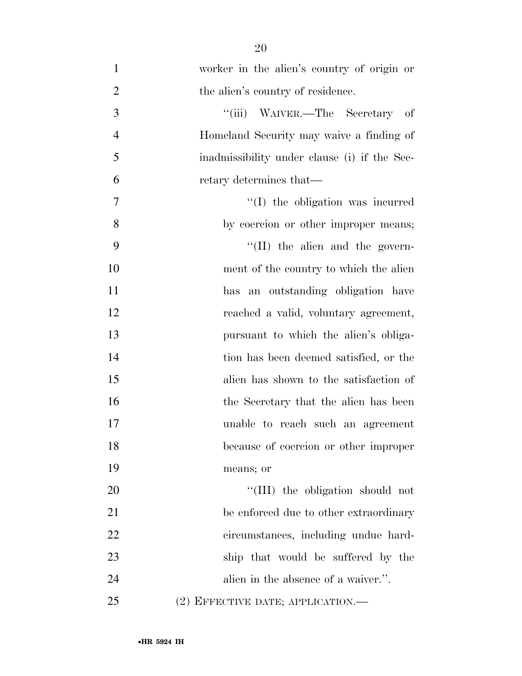- worker in the alien's country of origin or 2 the alien's country of residence. 3 "(iii) WAIVER.—The Secretary of Homeland Security may waive a finding of inadmissibility under clause (i) if the Sec- retary determines that— 7  $''(I)$  the obligation was incurred by coercion or other improper means; 9 ''(II) the alien and the govern- ment of the country to which the alien has an outstanding obligation have reached a valid, voluntary agreement, pursuant to which the alien's obliga- tion has been deemed satisfied, or the alien has shown to the satisfaction of 16 the Secretary that the alien has been unable to reach such an agreement because of coercion or other improper means; or 20  $\frac{1}{20}$  the obligation should not 21 be enforced due to other extraordinary circumstances, including undue hard- ship that would be suffered by the 24 alien in the absence of a waiver.".
- (2) EFFECTIVE DATE; APPLICATION.—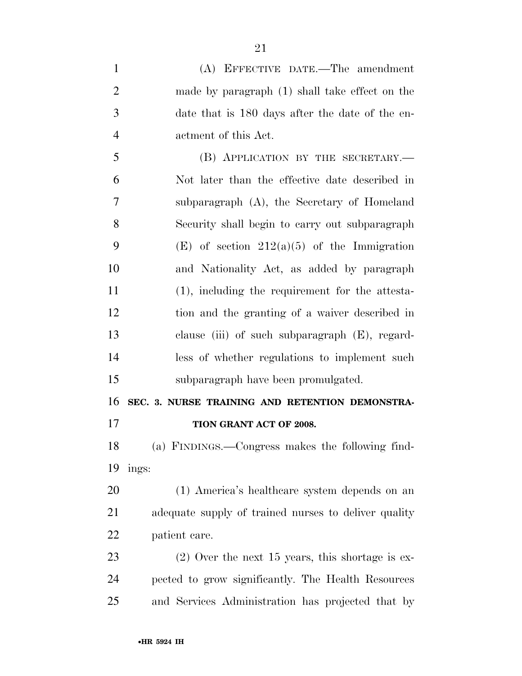| $\mathbf{1}$   | (A) EFFECTIVE DATE.—The amendment                    |
|----------------|------------------------------------------------------|
| $\overline{2}$ | made by paragraph $(1)$ shall take effect on the     |
| 3              | date that is 180 days after the date of the en-      |
| $\overline{4}$ | actment of this Act.                                 |
| 5              | (B) APPLICATION BY THE SECRETARY.                    |
| 6              | Not later than the effective date described in       |
| 7              | subparagraph (A), the Secretary of Homeland          |
| 8              | Security shall begin to carry out subparagraph       |
| 9              | (E) of section $212(a)(5)$ of the Immigration        |
| 10             | and Nationality Act, as added by paragraph           |
| 11             | $(1)$ , including the requirement for the attesta-   |
| 12             | tion and the granting of a waiver described in       |
| 13             | clause (iii) of such subparagraph $(E)$ , regard-    |
| 14             | less of whether regulations to implement such        |
| 15             | subparagraph have been promulgated.                  |
| 16             | SEC. 3. NURSE TRAINING AND RETENTION DEMONSTRA-      |
| 17             | TION GRANT ACT OF 2008.                              |
| 18             | (a) FINDINGS.—Congress makes the following find-     |
| 19             | ings:                                                |
| 20             | (1) America's healthcare system depends on an        |
| 21             | adequate supply of trained nurses to deliver quality |
| 22             | patient care.                                        |
| 23             | $(2)$ Over the next 15 years, this shortage is ex-   |
| 24             | pected to grow significantly. The Health Resources   |
| 25             | and Services Administration has projected that by    |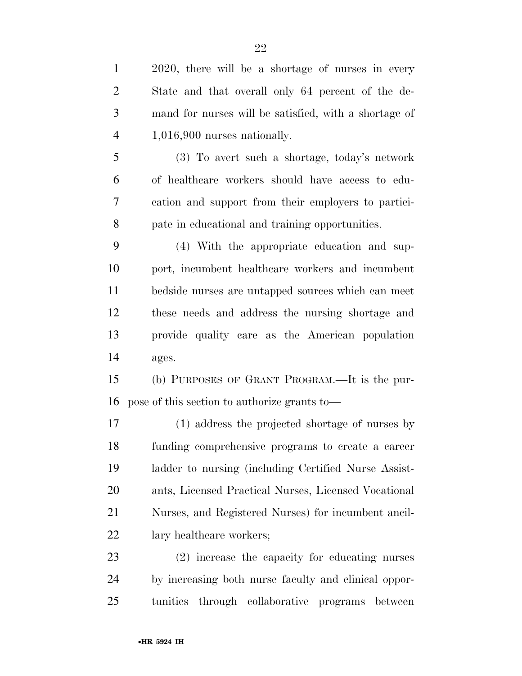| $\mathbf{1}$   | 2020, there will be a shortage of nurses in every     |
|----------------|-------------------------------------------------------|
| $\overline{2}$ | State and that overall only 64 percent of the de-     |
| 3              | mand for nurses will be satisfied, with a shortage of |
| $\overline{4}$ | $1,016,900$ nurses nationally.                        |
| 5              | (3) To avert such a shortage, today's network         |
| 6              | of healthcare workers should have access to edu-      |
| 7              | cation and support from their employers to partici-   |
| 8              | pate in educational and training opportunities.       |
| 9              | (4) With the appropriate education and sup-           |
| 10             | port, incumbent healthcare workers and incumbent      |
| 11             | bedside nurses are untapped sources which can meet    |
| 12             | these needs and address the nursing shortage and      |
| 13             | provide quality care as the American population       |
| 14             | ages.                                                 |
| 15             | (b) PURPOSES OF GRANT PROGRAM.—It is the pur-         |
| 16             | pose of this section to authorize grants to-          |
| 17             | (1) address the projected shortage of nurses by       |
| 18             | funding comprehensive programs to create a career     |
| 19             | ladder to nursing (including Certified Nurse Assist-  |
| <b>20</b>      | ants, Licensed Practical Nurses, Licensed Vocational  |
| 21             | Nurses, and Registered Nurses) for incumbent ancil-   |
| 22             | lary healthcare workers;                              |
| 23             | (2) increase the capacity for educating nurses        |
| 24             | by increasing both nurse faculty and clinical oppor-  |

tunities through collaborative programs between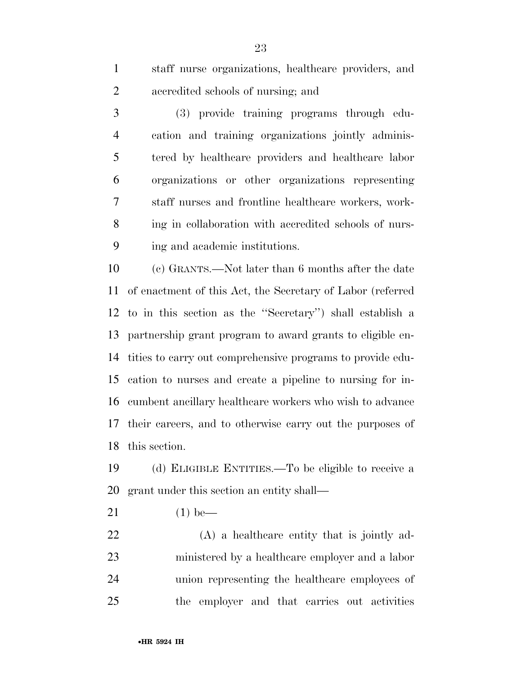staff nurse organizations, healthcare providers, and accredited schools of nursing; and

 (3) provide training programs through edu- cation and training organizations jointly adminis- tered by healthcare providers and healthcare labor organizations or other organizations representing staff nurses and frontline healthcare workers, work- ing in collaboration with accredited schools of nurs-ing and academic institutions.

 (c) GRANTS.—Not later than 6 months after the date of enactment of this Act, the Secretary of Labor (referred to in this section as the ''Secretary'') shall establish a partnership grant program to award grants to eligible en- tities to carry out comprehensive programs to provide edu- cation to nurses and create a pipeline to nursing for in- cumbent ancillary healthcare workers who wish to advance their careers, and to otherwise carry out the purposes of this section.

 (d) ELIGIBLE ENTITIES.—To be eligible to receive a grant under this section an entity shall—

(1) be—

 (A) a healthcare entity that is jointly ad- ministered by a healthcare employer and a labor union representing the healthcare employees of the employer and that carries out activities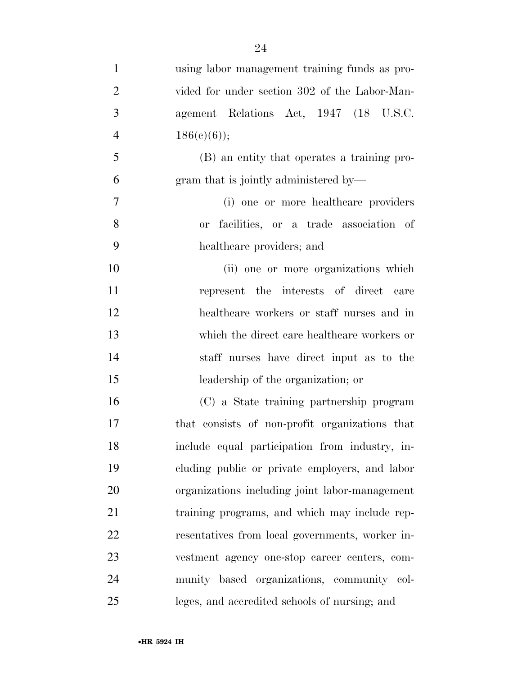| $\mathbf{1}$   | using labor management training funds as pro-   |
|----------------|-------------------------------------------------|
| $\overline{2}$ | vided for under section 302 of the Labor-Man-   |
| 3              | agement Relations Act, 1947 (18 U.S.C.          |
| $\overline{4}$ | $186(c)(6)$ ;                                   |
| 5              | (B) an entity that operates a training pro-     |
| 6              | gram that is jointly administered by—           |
| $\overline{7}$ | (i) one or more healthcare providers            |
| 8              | or facilities, or a trade association of        |
| 9              | healthcare providers; and                       |
| 10             | (ii) one or more organizations which            |
| 11             | represent the interests of direct care          |
| 12             | healthcare workers or staff nurses and in       |
| 13             | which the direct care healthcare workers or     |
| 14             | staff nurses have direct input as to the        |
| 15             | leadership of the organization; or              |
| 16             | (C) a State training partnership program        |
| 17             | that consists of non-profit organizations that  |
| 18             | include equal participation from industry, in-  |
| 19             | cluding public or private employers, and labor  |
| 20             | organizations including joint labor-management  |
| 21             | training programs, and which may include rep-   |
| 22             | resentatives from local governments, worker in- |
| 23             | vestment agency one-stop career centers, com-   |
| 24             | munity based organizations, community col-      |
| 25             | leges, and accredited schools of nursing; and   |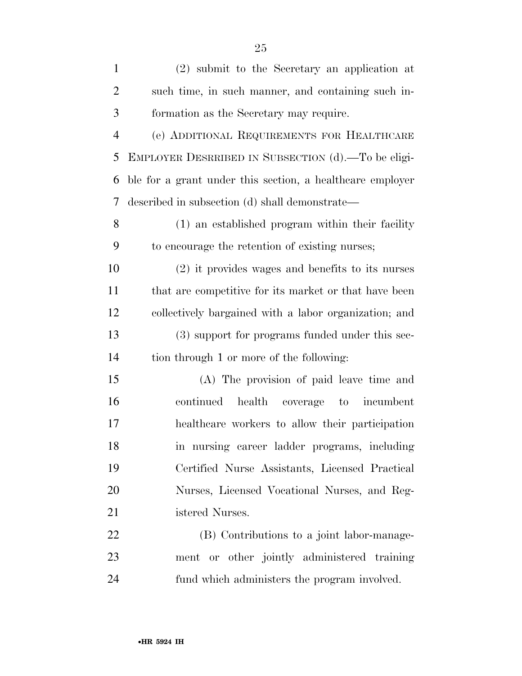| $\mathbf{1}$   | (2) submit to the Secretary an application at             |
|----------------|-----------------------------------------------------------|
| $\overline{2}$ | such time, in such manner, and containing such in-        |
| 3              | formation as the Secretary may require.                   |
| $\overline{4}$ | (e) ADDITIONAL REQUIREMENTS FOR HEALTHCARE                |
| 5              | EMPLOYER DESRRIBED IN SUBSECTION (d).—To be eligi-        |
| 6              | ble for a grant under this section, a healthcare employer |
| 7              | described in subsection (d) shall demonstrate—            |
| 8              | (1) an established program within their facility          |
| 9              | to encourage the retention of existing nurses;            |
| 10             | $(2)$ it provides wages and benefits to its nurses        |
| 11             | that are competitive for its market or that have been     |
| 12             | collectively bargained with a labor organization; and     |
| 13             | (3) support for programs funded under this sec-           |
| 14             | tion through 1 or more of the following:                  |
| 15             | (A) The provision of paid leave time and                  |
| 16             | health<br>continued<br>coverage to<br>incumbent           |
| 17             | healthcare workers to allow their participation           |
| 18             | in nursing career ladder programs, including              |
| 19             | Certified Nurse Assistants, Licensed Practical            |
| 20             | Nurses, Licensed Vocational Nurses, and Reg-              |

istered Nurses.

 (B) Contributions to a joint labor-manage- ment or other jointly administered training fund which administers the program involved.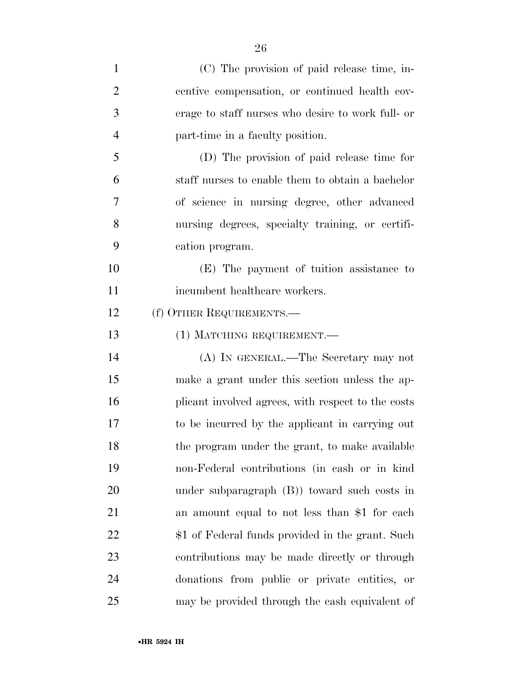| $\mathbf{1}$   | (C) The provision of paid release time, in-        |
|----------------|----------------------------------------------------|
| $\overline{2}$ | centive compensation, or continued health cov-     |
| 3              | erage to staff nurses who desire to work full- or  |
| $\overline{4}$ | part-time in a faculty position.                   |
| 5              | (D) The provision of paid release time for         |
| 6              | staff nurses to enable them to obtain a bachelor   |
| 7              | of science in nursing degree, other advanced       |
| 8              | nursing degrees, specialty training, or certifi-   |
| 9              | cation program.                                    |
| 10             | (E) The payment of tuition assistance to           |
| 11             | incumbent healthcare workers.                      |
| 12             | (f) OTHER REQUIREMENTS.—                           |
| 13             | (1) MATCHING REQUIREMENT.—                         |
| 14             | (A) IN GENERAL.—The Secretary may not              |
| 15             | make a grant under this section unless the ap-     |
| 16             | plicant involved agrees, with respect to the costs |
| 17             | to be incurred by the applicant in carrying out    |
| 18             | the program under the grant, to make available     |
| 19             | non-Federal contributions (in cash or in kind      |
| 20             | under subparagraph $(B)$ toward such costs in      |
| 21             | an amount equal to not less than \$1 for each      |
| 22             | \$1 of Federal funds provided in the grant. Such   |
| 23             | contributions may be made directly or through      |
| 24             | donations from public or private entities, or      |
| 25             | may be provided through the cash equivalent of     |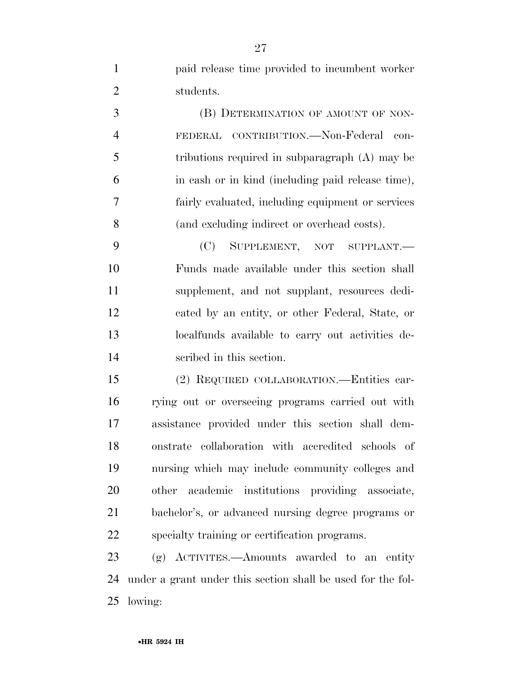paid release time provided to incumbent worker students.

**(B) DETERMINATION OF AMOUNT OF NON-** FEDERAL CONTRIBUTION.—Non-Federal con- tributions required in subparagraph (A) may be in cash or in kind (including paid release time), fairly evaluated, including equipment or services (and excluding indirect or overhead costs).

 (C) SUPPLEMENT, NOT SUPPLANT.— Funds made available under this section shall supplement, and not supplant, resources dedi- cated by an entity, or other Federal, State, or localfunds available to carry out activities de-scribed in this section.

 (2) REQUIRED COLLABORATION.—Entities car- rying out or overseeing programs carried out with assistance provided under this section shall dem- onstrate collaboration with accredited schools of nursing which may include community colleges and other academic institutions providing associate, bachelor's, or advanced nursing degree programs or specialty training or certification programs.

 (g) ACTIVITES.—Amounts awarded to an entity under a grant under this section shall be used for the fol-lowing: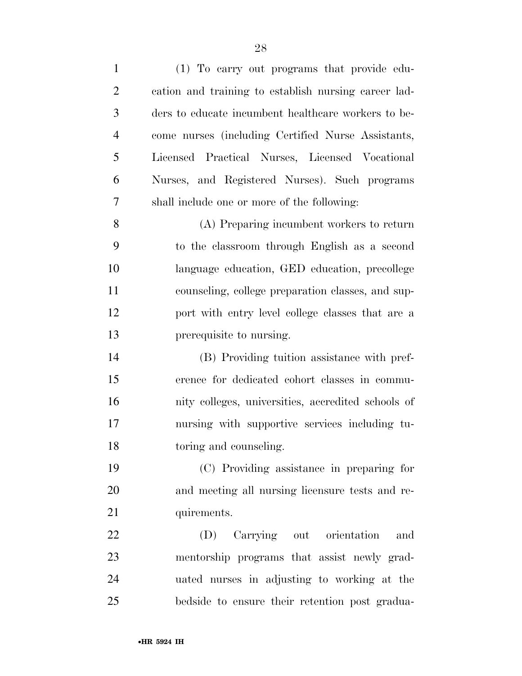| $\mathbf{1}$   | (1) To carry out programs that provide edu-          |
|----------------|------------------------------------------------------|
| $\overline{2}$ | cation and training to establish nursing career lad- |
| 3              | ders to educate incumbent healthcare workers to be-  |
| $\overline{4}$ | come nurses (including Certified Nurse Assistants,   |
| 5              | Licensed Practical Nurses, Licensed Vocational       |
| 6              | Nurses, and Registered Nurses). Such programs        |
| 7              | shall include one or more of the following:          |
| 8              | (A) Preparing incumbent workers to return            |
| 9              | to the classroom through English as a second         |
| 10             | language education, GED education, precollege        |
| 11             | counseling, college preparation classes, and sup-    |
| 12             | port with entry level college classes that are a     |
| 13             | prerequisite to nursing.                             |
| 14             | (B) Providing tuition assistance with pref-          |
| 15             | erence for dedicated cohort classes in commu-        |
| 16             | nity colleges, universities, accredited schools of   |
| 17             | nursing with supportive services including tu-       |
| 18             | toring and counseling.                               |
| 19             | (C) Providing assistance in preparing for            |
| 20             | and meeting all nursing licensure tests and re-      |
| 21             | quirements.                                          |
| 22             | Carrying out orientation<br>and<br>(D)               |
| 23             | mentorship programs that assist newly grad-          |
| 24             | uated nurses in adjusting to working at the          |
| 25             | bedside to ensure their retention post gradua-       |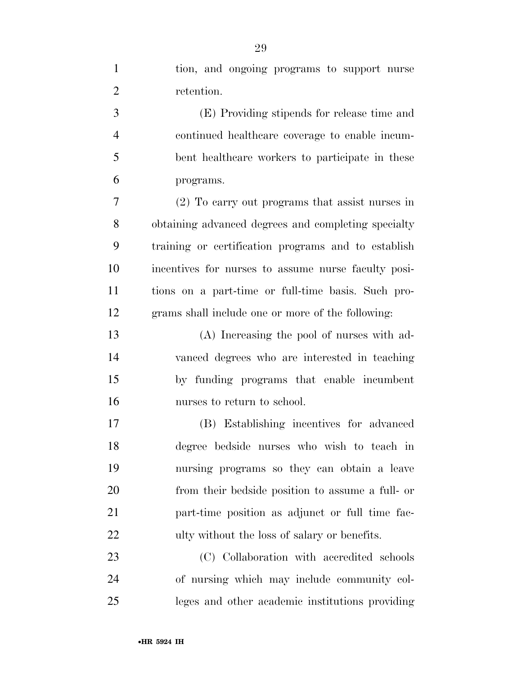| $\mathbf{1}$   | tion, and ongoing programs to support nurse         |
|----------------|-----------------------------------------------------|
| $\overline{2}$ | retention.                                          |
| 3              | (E) Providing stipends for release time and         |
| $\overline{4}$ | continued healthcare coverage to enable incum-      |
| 5              | bent healthcare workers to participate in these     |
| 6              | programs.                                           |
| 7              | (2) To carry out programs that assist nurses in     |
| 8              | obtaining advanced degrees and completing specialty |
| 9              | training or certification programs and to establish |
| 10             | incentives for nurses to assume nurse faculty posi- |
| 11             | tions on a part-time or full-time basis. Such pro-  |
| 12             | grams shall include one or more of the following:   |
| 13             | (A) Increasing the pool of nurses with ad-          |
| 14             | vanced degrees who are interested in teaching       |
| 15             | by funding programs that enable incumbent           |
| 16             | nurses to return to school.                         |
| 17             | (B) Establishing incentives for advanced            |
| 18             | degree bedside nurses who wish to teach in          |
| 19             | nursing programs so they can obtain a leave         |
| 20             | from their bedside position to assume a full- or    |
| 21             | part-time position as adjunct or full time fac-     |
| 22             | ulty without the loss of salary or benefits.        |
| 23             | (C) Collaboration with accredited schools           |
| 24             | of nursing which may include community col-         |
| 25             | leges and other academic institutions providing     |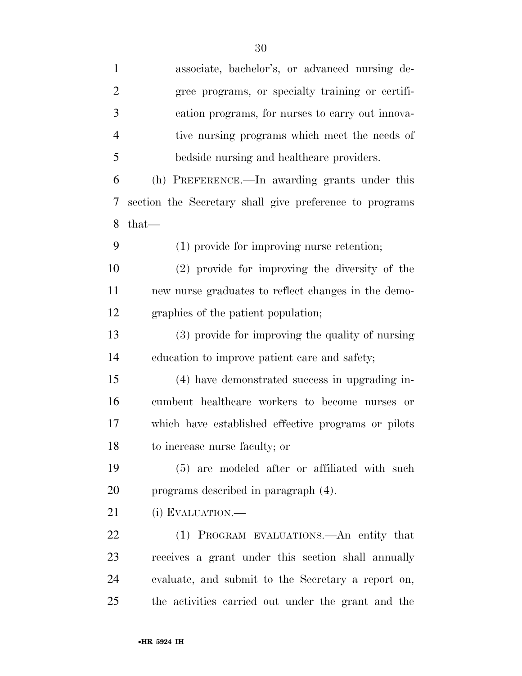| $\mathbf{1}$   | associate, bachelor's, or advanced nursing de-          |
|----------------|---------------------------------------------------------|
| $\overline{2}$ | gree programs, or specialty training or certifi-        |
| 3              | cation programs, for nurses to carry out innova-        |
| $\overline{4}$ | tive nursing programs which meet the needs of           |
| 5              | bedside nursing and healthcare providers.               |
| 6              | (h) PREFERENCE.—In awarding grants under this           |
| 7              | section the Secretary shall give preference to programs |
| 8              | $that-$                                                 |
| 9              | (1) provide for improving nurse retention;              |
| 10             | $(2)$ provide for improving the diversity of the        |
| 11             | new nurse graduates to reflect changes in the demo-     |
| 12             | graphics of the patient population;                     |
| 13             | (3) provide for improving the quality of nursing        |
| 14             | education to improve patient care and safety;           |
| 15             | (4) have demonstrated success in upgrading in-          |
| 16             | cumbent healthcare workers to become nurses or          |
| 17             | which have established effective programs or pilots     |
| 18             | to increase nurse faculty; or                           |
| 19             | (5) are modeled after or affiliated with such           |
| 20             | programs described in paragraph (4).                    |
| 21             | (i) EVALUATION.—                                        |
| 22             | (1) PROGRAM EVALUATIONS.—An entity that                 |
| 23             | receives a grant under this section shall annually      |
| 24             | evaluate, and submit to the Secretary a report on,      |
| 25             | the activities carried out under the grant and the      |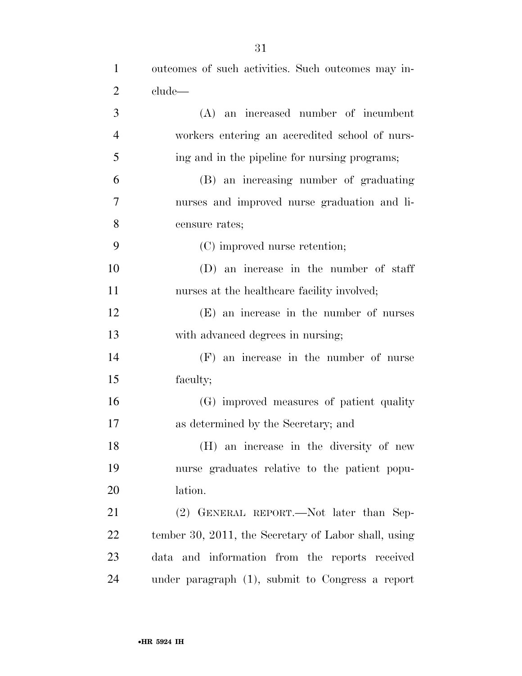| $\mathbf{1}$   | outcomes of such activities. Such outcomes may in-   |
|----------------|------------------------------------------------------|
| $\overline{2}$ | clude—                                               |
| 3              | (A) an increased number of incumbent                 |
| $\overline{4}$ | workers entering an accredited school of nurs-       |
| 5              | ing and in the pipeline for nursing programs;        |
| 6              | (B) an increasing number of graduating               |
| 7              | nurses and improved nurse graduation and li-         |
| 8              | censure rates;                                       |
| 9              | (C) improved nurse retention;                        |
| 10             | (D) an increase in the number of staff               |
| 11             | nurses at the healthcare facility involved;          |
| 12             | (E) an increase in the number of nurses              |
| 13             | with advanced degrees in nursing;                    |
| 14             | $(F)$ an increase in the number of nurse             |
| 15             | faculty;                                             |
| 16             | (G) improved measures of patient quality             |
| 17             | as determined by the Secretary; and                  |
| 18             | (H) an increase in the diversity of new              |
| 19             | nurse graduates relative to the patient popu-        |
| 20             | lation.                                              |
| 21             | (2) GENERAL REPORT.—Not later than Sep-              |
| 22             | tember 30, 2011, the Secretary of Labor shall, using |
| 23             | data and information from the reports received       |
| 24             | under paragraph $(1)$ , submit to Congress a report  |